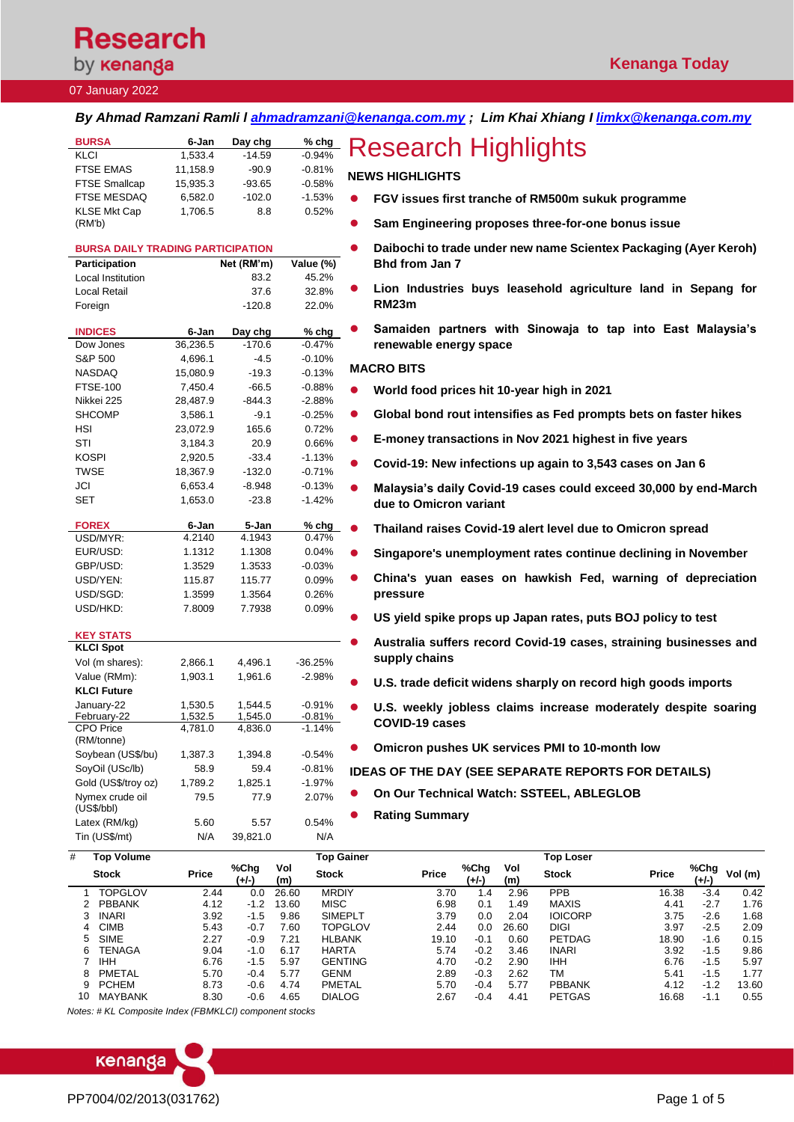# **Research**

# by **kenanga**

### 07 January 2022

### *By Ahmad Ramzani Ramli l [ahmadramzani@kenanga.com.my](mailto:ahmadramzani@kenanga.com.my) ; Lim Khai Xhiang I [limkx@kenanga.com.my](mailto:limkx@kenanga.com.my)*

| <b>BURSA</b>                  | 6-Jan    | Day chg  | $%$ chg  |
|-------------------------------|----------|----------|----------|
| <b>KLCI</b>                   | 1,533.4  | $-14.59$ | $-0.94%$ |
| <b>FTSE EMAS</b>              | 11,158.9 | $-90.9$  | $-0.81%$ |
| <b>FTSE Smallcap</b>          | 15.935.3 | $-93.65$ | $-0.58%$ |
| <b>FTSE MESDAQ</b>            | 6.582.0  | $-102.0$ | $-1.53%$ |
| <b>KLSE Mkt Cap</b><br>(RM'b) | 1.706.5  | 8.8      | 0.52%    |

| <b>BURSA DAILY TRADING PARTICIPATION</b> |          |            |           |
|------------------------------------------|----------|------------|-----------|
| Participation                            |          | Net (RM'm) | Value (%) |
| <b>Local Institution</b>                 |          | 83.2       | 45.2%     |
| <b>Local Retail</b>                      |          | 37.6       | 32.8%     |
| Foreign                                  |          | $-120.8$   | 22.0%     |
|                                          |          |            |           |
| <b>INDICES</b>                           | 6-Jan    | Day chg    | % chg     |
| Dow Jones                                | 36,236.5 | $-170.6$   | $-0.47%$  |
| S&P 500                                  | 4,696.1  | $-4.5$     | $-0.10%$  |
| <b>NASDAQ</b>                            | 15,080.9 | $-19.3$    | $-0.13%$  |
| <b>FTSE-100</b>                          | 7,450.4  | $-66.5$    | $-0.88%$  |
| Nikkei 225                               | 28,487.9 | $-844.3$   | $-2.88%$  |
| <b>SHCOMP</b>                            | 3,586.1  | $-9.1$     | $-0.25%$  |
| <b>HSI</b>                               | 23,072.9 | 165.6      | 0.72%     |
| STI                                      | 3,184.3  | 20.9       | 0.66%     |
| KOSPI                                    | 2,920.5  | $-33.4$    | $-1.13%$  |
| TWSE                                     | 18,367.9 | $-132.0$   | $-0.71%$  |
| JCI                                      | 6,653.4  | $-8.948$   | $-0.13%$  |
| <b>SET</b>                               | 1,653.0  | $-23.8$    | $-1.42%$  |
|                                          |          |            |           |
| <b>FOREX</b>                             | 6-Jan    | 5-Jan      | % chg     |
| USD/MYR:                                 | 4.2140   | 4.1943     | 0.47%     |
| EUR/USD:                                 | 1.1312   | 1.1308     | 0.04%     |
| GBP/USD:                                 | 1.3529   | 1.3533     | $-0.03%$  |
| USD/YEN:                                 | 115.87   | 115.77     | 0.09%     |
| USD/SGD:                                 | 1.3599   | 1.3564     | 0.26%     |
| USD/HKD:                                 | 7.8009   | 7.7938     | 0.09%     |
|                                          |          |            |           |
| KEY STATS                                |          |            |           |
| <b>KLCI Spot</b>                         |          |            |           |
| Vol (m shares):                          | 2,866.1  | 4,496.1    | $-36.25%$ |
| Value (RMm):                             | 1,903.1  | 1,961.6    | $-2.98%$  |
| <b>KLCI Future</b>                       |          |            |           |
| January-22                               | 1,530.5  | 1,544.5    | $-0.91%$  |
| February-22<br><b>CPO</b> Price          | 1,532.5  | 1,545.0    | $-0.81%$  |
| (RM/tonne)                               | 4,781.0  | 4,836.0    | $-1.14%$  |
| Soybean (US\$/bu)                        | 1,387.3  | 1,394.8    | $-0.54%$  |
| SoyOil (USc/lb)                          | 58.9     | 59.4       | $-0.81%$  |
| Gold (US\$/troy oz)                      | 1,789.2  | 1,825.1    | $-1.97%$  |
| Nymex crude oil                          | 79.5     | 77.9       | 2.07%     |
| (US\$/bbI)                               |          |            |           |
| Latex (RM/kg)                            | 5.60     | 5.57       | 0.54%     |
| Tin (US\$/mt)                            | N/A      | 39,821.0   | N/A       |
| #<br><b>Top Volume</b>                   |          |            | Top Ga    |

# **Research Highlights**

### **NEWS HIGHLIGHTS**

- ⚫ **FGV issues first tranche of RM500m sukuk programme**
- ⚫ **Sam Engineering proposes three-for-one bonus issue**
- ⚫ **Daibochi to trade under new name Scientex Packaging (Ayer Keroh) Bhd from Jan 7**
- ⚫ **Lion Industries buys leasehold agriculture land in Sepang for RM23m**
- ⚫ **Samaiden partners with Sinowaja to tap into East Malaysia's renewable energy space**

### **MACRO BITS**

- ⚫ **[World food prices hit 10-year high in 2021](https://www.reuters.com/article/global-economy-food/world-food-prices-hit-10-year-high-in-2021-idUSKBN2JG0LL)**
- ⚫ **[Global bond rout intensifies as Fed prompts bets on faster hikes](https://www.bloomberg.com/news/articles/2022-01-05/treasuries-selloff-deepens-as-fed-opens-door-to-faster-hikes)**
- ⚫ **[E-money transactions in Nov 2021 highest in five years](https://www.theedgemarkets.com/article/emoney-transactions-nov-2020-highest-five-years)**
- ⚫ **[Covid-19: New infections up again to 3,543 cases on Jan 6](https://www.theedgemarkets.com/article/3543-new-covid19-cases-reported-jan-6-cumulative-number-reaching-2776699-says-health-dg)**
- ⚫ **[Malaysia's daily Covid-19 cases could exceed 30,000 by end-March](https://www.theedgemarkets.com/article/khairy-malaysias-daily-covid19-cases-could-exceed-30000-endmarch-due-omicron-variant)  [due to Omicron variant](https://www.theedgemarkets.com/article/khairy-malaysias-daily-covid19-cases-could-exceed-30000-endmarch-due-omicron-variant)**
	- ⚫ **[Thailand raises Covid-19 alert level due to Omicron spread](https://www.theedgemarkets.com/article/thailand-raises-covid19-alert-level-due-omicron-spread)**
- ⚫ **[Singapore's unemployment rates continue declining in November](https://www.businesstimes.com.sg/government-economy/singapores-unemployment-rates-continue-declining-in-november)**
- ⚫ **[China's yuan eases on hawkish Fed, warning of depreciation](https://www.theedgemarkets.com/article/chinas-yuan-eases-hawkish-fed-warning-depreciation-pressure)  [pressure](https://www.theedgemarkets.com/article/chinas-yuan-eases-hawkish-fed-warning-depreciation-pressure)**
- ⚫ **[US yield spike props up Japan rates, puts BOJ policy to test](https://www.theedgemarkets.com/article/us-yield-spike-props-japan-rates-puts-boj-policy-test)**
- ⚫ **[Australia suffers record Covid-19 cases, straining businesses and](https://www.theedgemarkets.com/article/australia-suffers-record-covid19-cases-straining-businesses-and-supply-chains)  [supply chains](https://www.theedgemarkets.com/article/australia-suffers-record-covid19-cases-straining-businesses-and-supply-chains)**
- ⚫ **[U.S. trade deficit widens sharply on record high goods imports](https://www.reuters.com/markets/us/us-trade-deficit-widens-sharply-record-high-goods-imports-2022-01-06/)**
- ⚫ **[U.S. weekly jobless claims increase moderately despite soaring](https://www.reuters.com/markets/us/us-weekly-jobless-claims-increase-moderately-2022-01-06/)  [COVID-19 cases](https://www.reuters.com/markets/us/us-weekly-jobless-claims-increase-moderately-2022-01-06/)**
- ⚫ **[Omicron pushes UK services PMI to 10-month low](https://www.reuters.com/markets/europe/omicron-pushes-uk-services-pmi-10-month-low-ihs-markit-2022-01-06/)**

### **IDEAS OF THE DAY (SEE SEPARATE REPORTS FOR DETAILS)**

- ⚫ **On Our Technical Watch: SSTEEL, ABLEGLOB**
- ⚫ **Rating Summary**

| #   | <b>Top Volume</b> |       |               |            | <b>Top Gainer</b> |              |               |            | <b>Top Loser</b> |              |               |        |
|-----|-------------------|-------|---------------|------------|-------------------|--------------|---------------|------------|------------------|--------------|---------------|--------|
|     | <b>Stock</b>      | Price | %Chg<br>(+/-) | Vol<br>(m) | <b>Stock</b>      | <b>Price</b> | %Chg<br>(+/-) | Vol<br>(m) | <b>Stock</b>     | <b>Price</b> | %Chg<br>(+/-) | Vol(m) |
|     | <b>TOPGLOV</b>    | 2.44  | 0.0           | 26.60      | <b>MRDIY</b>      | 3.70         | .4            | 2.96       | <b>PPB</b>       | 16.38        | $-3.4$        | 0.42   |
|     | <b>PBBANK</b>     | 4.12  | $-1.2$        | 13.60      | <b>MISC</b>       | 6.98         | 0.1           | 1.49       | MAXIS            | 4.41         | $-2.7$        | 1.76   |
|     | <b>INARI</b>      | 3.92  | $-1.5$        | 9.86       | <b>SIMEPLT</b>    | 3.79         | 0.0           | 2.04       | <b>IOICORP</b>   | 3.75         | $-2.6$        | 1.68   |
| 4   | <b>CIMB</b>       | 5.43  | $-0.7$        | 7.60       | <b>TOPGLOV</b>    | 2.44         | 0.0           | 26.60      | <b>DIGI</b>      | 3.97         | $-2.5$        | 2.09   |
| 5.  | <b>SIME</b>       | 2.27  | $-0.9$        | 7.21       | <b>HLBANK</b>     | 19.10        | $-0.1$        | 0.60       | <b>PETDAG</b>    | 18.90        | $-1.6$        | 0.15   |
| ิ ค | TENAGA            | 9.04  | $-1.0$        | 6.17       | <b>HARTA</b>      | 5.74         | $-0.2$        | 3.46       | <b>INARI</b>     | 3.92         | $-1.5$        | 9.86   |
|     | <b>IHH</b>        | 6.76  | $-1.5$        | 5.97       | <b>GENTING</b>    | 4.70         | $-0.2$        | 2.90       | <b>IHH</b>       | 6.76         | $-1.5$        | 5.97   |
| 8   | PMETAL            | 5.70  | $-0.4$        | 5.77       | <b>GENM</b>       | 2.89         | $-0.3$        | 2.62       | ТM               | 5.41         | $-1.5$        | 1.77   |
| 9.  | <b>PCHEM</b>      | 8.73  | $-0.6$        | 4.74       | PMETAL            | 5.70         | $-0.4$        | 5.77       | <b>PBBANK</b>    | 4.12         | $-1.2$        | 13.60  |
| 10  | <b>MAYBANK</b>    | 8.30  | $-0.6$        | 4.65       | <b>DIALOG</b>     | 2.67         | $-0.4$        | 4.41       | <b>PETGAS</b>    | 16.68        | $-1.1$        | 0.55   |

*Notes: # KL Composite Index (FBMKLCI) component stocks*

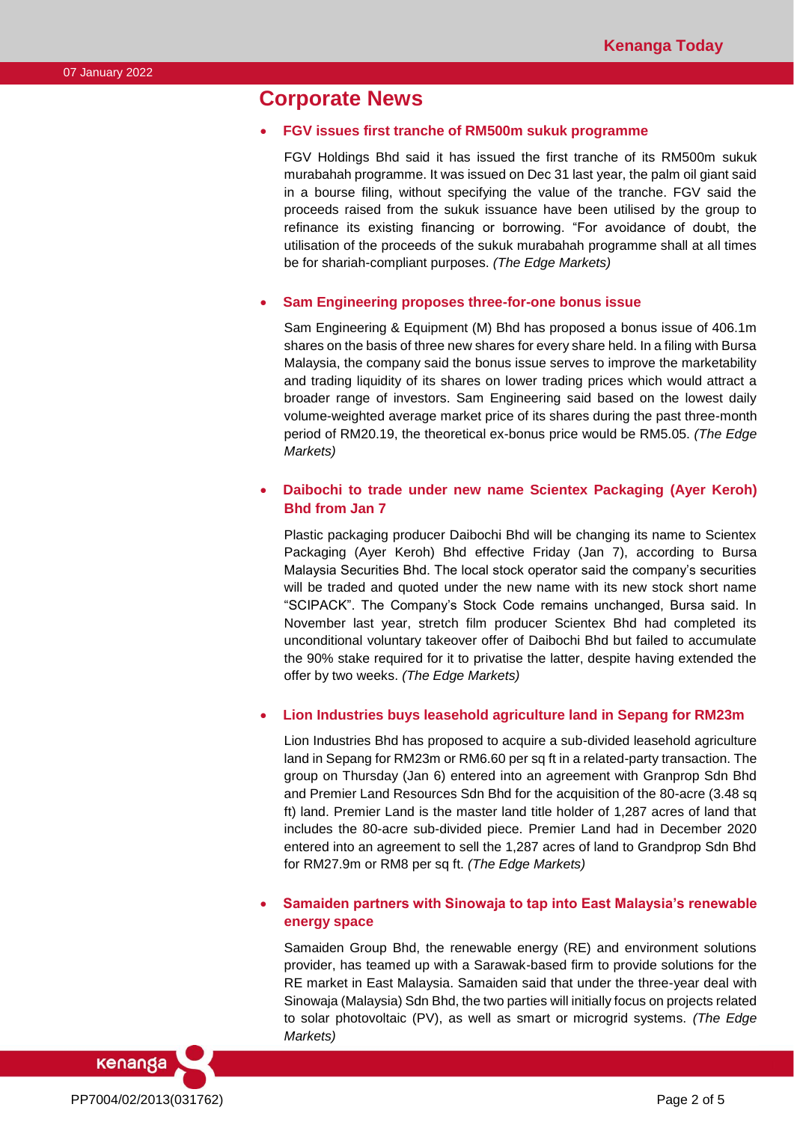## **Corporate News**

### • **FGV issues first tranche of RM500m sukuk programme**

FGV Holdings Bhd said it has issued the first tranche of its RM500m sukuk murabahah programme. It was issued on Dec 31 last year, the palm oil giant said in a bourse filing, without specifying the value of the tranche. FGV said the proceeds raised from the sukuk issuance have been utilised by the group to refinance its existing financing or borrowing. "For avoidance of doubt, the utilisation of the proceeds of the sukuk murabahah programme shall at all times be for shariah-compliant purposes. *(The Edge Markets)*

### • **Sam Engineering proposes three-for-one bonus issue**

Sam Engineering & Equipment (M) Bhd has proposed a bonus issue of 406.1m shares on the basis of three new shares for every share held. In a filing with Bursa Malaysia, the company said the bonus issue serves to improve the marketability and trading liquidity of its shares on lower trading prices which would attract a broader range of investors. Sam Engineering said based on the lowest daily volume-weighted average market price of its shares during the past three-month period of RM20.19, the theoretical ex-bonus price would be RM5.05. *(The Edge Markets)*

### • **Daibochi to trade under new name Scientex Packaging (Ayer Keroh) Bhd from Jan 7**

Plastic packaging producer Daibochi Bhd will be changing its name to Scientex Packaging (Ayer Keroh) Bhd effective Friday (Jan 7), according to Bursa Malaysia Securities Bhd. The local stock operator said the company's securities will be traded and quoted under the new name with its new stock short name "SCIPACK". The Company's Stock Code remains unchanged, Bursa said. In November last year, stretch film producer Scientex Bhd had completed its unconditional voluntary takeover offer of Daibochi Bhd but failed to accumulate the 90% stake required for it to privatise the latter, despite having extended the offer by two weeks. *(The Edge Markets)*

### • **Lion Industries buys leasehold agriculture land in Sepang for RM23m**

Lion Industries Bhd has proposed to acquire a sub-divided leasehold agriculture land in Sepang for RM23m or RM6.60 per sq ft in a related-party transaction. The group on Thursday (Jan 6) entered into an agreement with Granprop Sdn Bhd and Premier Land Resources Sdn Bhd for the acquisition of the 80-acre (3.48 sq ft) land. Premier Land is the master land title holder of 1,287 acres of land that includes the 80-acre sub-divided piece. Premier Land had in December 2020 entered into an agreement to sell the 1,287 acres of land to Grandprop Sdn Bhd for RM27.9m or RM8 per sq ft. *(The Edge Markets)*

### • **Samaiden partners with Sinowaja to tap into East Malaysia's renewable energy space**

Samaiden Group Bhd, the renewable energy (RE) and environment solutions provider, has teamed up with a Sarawak-based firm to provide solutions for the RE market in East Malaysia. Samaiden said that under the three-year deal with Sinowaja (Malaysia) Sdn Bhd, the two parties will initially focus on projects related to solar photovoltaic (PV), as well as smart or microgrid systems. *(The Edge Markets)*

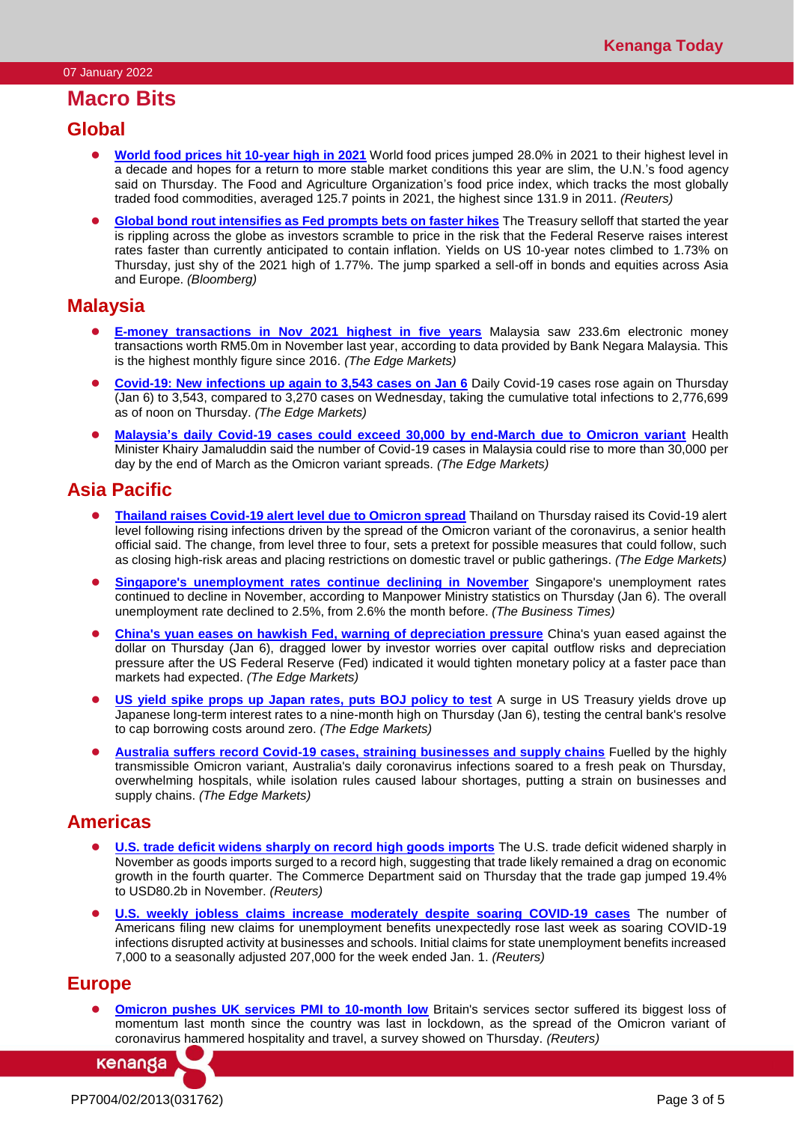# **Macro Bits**

### **Global**

- ⚫ **[World food prices hit 10-year high in 2021](https://www.reuters.com/article/global-economy-food/world-food-prices-hit-10-year-high-in-2021-idUSKBN2JG0LL)** World food prices jumped 28.0% in 2021 to their highest level in a decade and hopes for a return to more stable market conditions this year are slim, the U.N.'s food agency said on Thursday. The Food and Agriculture Organization's food price index, which tracks the most globally traded food commodities, averaged 125.7 points in 2021, the highest since 131.9 in 2011. *(Reuters)*
- **[Global bond rout intensifies as Fed prompts bets on faster hikes](https://www.bloomberg.com/news/articles/2022-01-05/treasuries-selloff-deepens-as-fed-opens-door-to-faster-hikes)** The Treasury selloff that started the year is rippling across the globe as investors scramble to price in the risk that the Federal Reserve raises interest rates faster than currently anticipated to contain inflation. Yields on US 10-year notes climbed to 1.73% on Thursday, just shy of the 2021 high of 1.77%. The jump sparked a sell-off in bonds and equities across Asia and Europe. *(Bloomberg)*

### **Malaysia**

- ⚫ **[E-money transactions in Nov 2021](https://www.theedgemarkets.com/article/emoney-transactions-nov-2020-highest-five-years) highest in five years** Malaysia saw 233.6m electronic money transactions worth RM5.0m in November last year, according to data provided by Bank Negara Malaysia. This is the highest monthly figure since 2016. *(The Edge Markets)*
- ⚫ **[Covid-19: New infections up again to 3,543 cases on Jan 6](https://www.theedgemarkets.com/article/3543-new-covid19-cases-reported-jan-6-cumulative-number-reaching-2776699-says-health-dg)** Daily Covid-19 cases rose again on Thursday (Jan 6) to 3,543, compared to 3,270 cases on Wednesday, taking the cumulative total infections to 2,776,699 as of noon on Thursday. *(The Edge Markets)*
- ⚫ **[Malaysia's daily Covid-19 cases could exceed 30,000 by end-March due to Omicron variant](https://www.theedgemarkets.com/article/khairy-malaysias-daily-covid19-cases-could-exceed-30000-endmarch-due-omicron-variant)** Health Minister Khairy Jamaluddin said the number of Covid-19 cases in Malaysia could rise to more than 30,000 per day by the end of March as the Omicron variant spreads. *(The Edge Markets)*

# **Asia Pacific**

- ⚫ **[Thailand raises Covid-19 alert level due to Omicron spread](https://www.theedgemarkets.com/article/thailand-raises-covid19-alert-level-due-omicron-spread)** Thailand on Thursday raised its Covid-19 alert level following rising infections driven by the spread of the Omicron variant of the coronavirus, a senior health official said. The change, from level three to four, sets a pretext for possible measures that could follow, such as closing high-risk areas and placing restrictions on domestic travel or public gatherings. *(The Edge Markets)*
- ⚫ **[Singapore's unemployment rates continue declining in November](https://www.businesstimes.com.sg/government-economy/singapores-unemployment-rates-continue-declining-in-november)** Singapore's unemployment rates continued to decline in November, according to Manpower Ministry statistics on Thursday (Jan 6). The overall unemployment rate declined to 2.5%, from 2.6% the month before. *(The Business Times)*
- ⚫ **[China's yuan eases on hawkish Fed, warning of depreciation pressure](https://www.theedgemarkets.com/article/chinas-yuan-eases-hawkish-fed-warning-depreciation-pressure)** China's yuan eased against the dollar on Thursday (Jan 6), dragged lower by investor worries over capital outflow risks and depreciation pressure after the US Federal Reserve (Fed) indicated it would tighten monetary policy at a faster pace than markets had expected. *(The Edge Markets)*
- ⚫ **[US yield spike props up Japan rates, puts BOJ policy to test](https://www.theedgemarkets.com/article/us-yield-spike-props-japan-rates-puts-boj-policy-test)** A surge in US Treasury yields drove up Japanese long-term interest rates to a nine-month high on Thursday (Jan 6), testing the central bank's resolve to cap borrowing costs around zero. *(The Edge Markets)*
- ⚫ **[Australia suffers record Covid-19 cases, straining businesses and supply chains](https://www.theedgemarkets.com/article/australia-suffers-record-covid19-cases-straining-businesses-and-supply-chains)** Fuelled by the highly transmissible Omicron variant, Australia's daily coronavirus infections soared to a fresh peak on Thursday, overwhelming hospitals, while isolation rules caused labour shortages, putting a strain on businesses and supply chains. *(The Edge Markets)*

### **Americas**

- **[U.S. trade deficit widens sharply on record high goods imports](https://www.reuters.com/markets/us/us-trade-deficit-widens-sharply-record-high-goods-imports-2022-01-06/)** The U.S. trade deficit widened sharply in November as goods imports surged to a record high, suggesting that trade likely remained a drag on economic growth in the fourth quarter. The Commerce Department said on Thursday that the trade gap jumped 19.4% to USD80.2b in November. *(Reuters)*
- **[U.S. weekly jobless claims increase moderately despite soaring COVID-19 cases](https://www.reuters.com/markets/us/us-weekly-jobless-claims-increase-moderately-2022-01-06/)** The number of Americans filing new claims for unemployment benefits unexpectedly rose last week as soaring COVID-19 infections disrupted activity at businesses and schools. Initial claims for state unemployment benefits increased 7,000 to a seasonally adjusted 207,000 for the week ended Jan. 1. *(Reuters)*

### **Europe**

**[Omicron pushes UK services PMI to 10-month low](https://www.reuters.com/markets/europe/omicron-pushes-uk-services-pmi-10-month-low-ihs-markit-2022-01-06/)** Britain's services sector suffered its biggest loss of momentum last month since the country was last in lockdown, as the spread of the Omicron variant of coronavirus hammered hospitality and travel, a survey showed on Thursday. *(Reuters)*

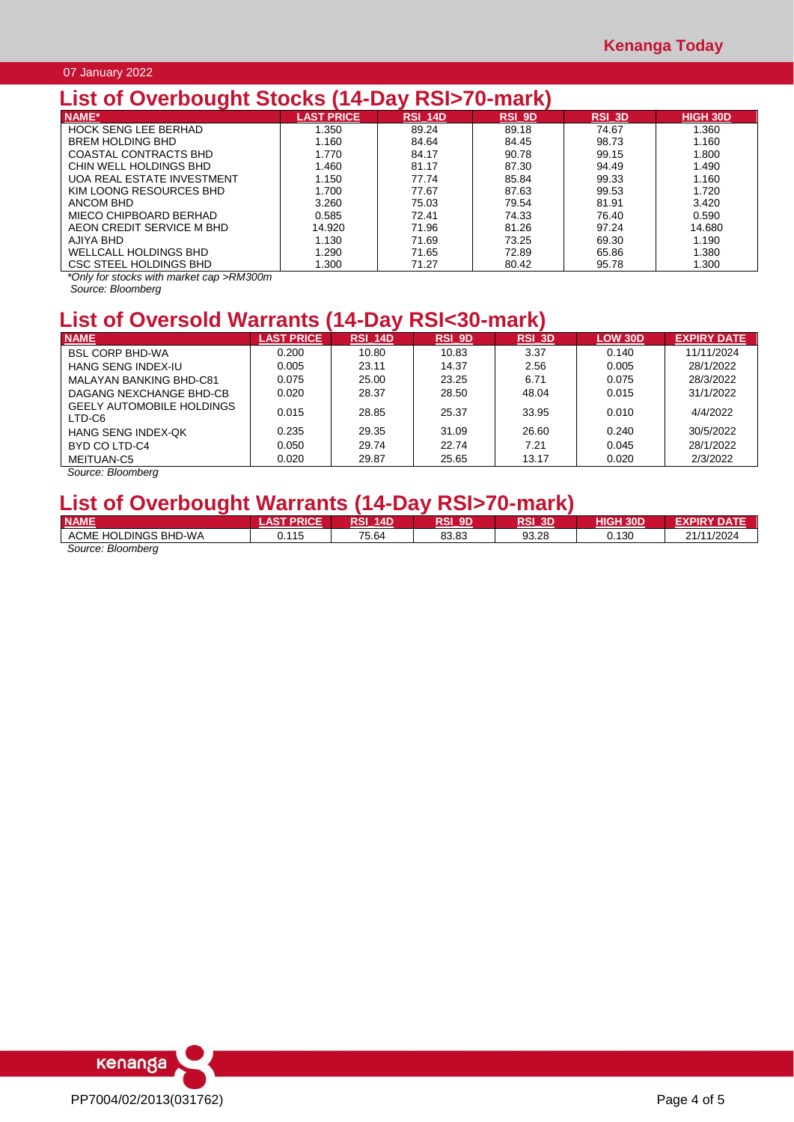### 07 January 2022

# **List of Overbought Stocks (14-Day RSI>70-mark)**

| NAME*                        | <b>LAST PRICE</b> | RSI 14D | <b>RSI 9D</b> | <b>RSI 3D</b> | <b>HIGH 30D</b> |
|------------------------------|-------------------|---------|---------------|---------------|-----------------|
| <b>HOCK SENG LEE BERHAD</b>  | 1.350             | 89.24   | 89.18         | 74.67         | 1.360           |
| <b>BREM HOLDING BHD</b>      | 1.160             | 84.64   | 84.45         | 98.73         | 1.160           |
| <b>COASTAL CONTRACTS BHD</b> | 1.770             | 84.17   | 90.78         | 99.15         | 1.800           |
| CHIN WELL HOLDINGS BHD       | 1.460             | 81.17   | 87.30         | 94.49         | 1.490           |
| UOA REAL ESTATE INVESTMENT   | 1.150             | 77.74   | 85.84         | 99.33         | 1.160           |
| KIM LOONG RESOURCES BHD      | 1.700             | 77.67   | 87.63         | 99.53         | 1.720           |
| ANCOM BHD                    | 3.260             | 75.03   | 79.54         | 81.91         | 3.420           |
| MIECO CHIPBOARD BERHAD       | 0.585             | 72.41   | 74.33         | 76.40         | 0.590           |
| AEON CREDIT SERVICE M BHD    | 14.920            | 71.96   | 81.26         | 97.24         | 14.680          |
| AJIYA BHD                    | 1.130             | 71.69   | 73.25         | 69.30         | 1.190           |
| WELLCALL HOLDINGS BHD        | 1.290             | 71.65   | 72.89         | 65.86         | 1.380           |
| CSC STEEL HOLDINGS BHD       | 1.300             | 71.27   | 80.42         | 95.78         | 1.300           |

*\*Only for stocks with market cap >RM300m*

*Source: Bloomberg*

# **List of Oversold Warrants (14-Day RSI<30-mark)**

| <b>NAME</b>                                | <b>LAST PRICE</b> | <b>RSI 14D</b> | <b>RSI 9D</b> | RSI 3D | <b>LOW 30D</b> | <b>EXPIRY DATE</b> |
|--------------------------------------------|-------------------|----------------|---------------|--------|----------------|--------------------|
| <b>BSL CORP BHD-WA</b>                     | 0.200             | 10.80          | 10.83         | 3.37   | 0.140          | 11/11/2024         |
| HANG SENG INDEX-IU                         | 0.005             | 23.11          | 14.37         | 2.56   | 0.005          | 28/1/2022          |
| MALAYAN BANKING BHD-C81                    | 0.075             | 25.00          | 23.25         | 6.71   | 0.075          | 28/3/2022          |
| DAGANG NEXCHANGE BHD-CB                    | 0.020             | 28.37          | 28.50         | 48.04  | 0.015          | 31/1/2022          |
| <b>GEELY AUTOMOBILE HOLDINGS</b><br>LTD-C6 | 0.015             | 28.85          | 25.37         | 33.95  | 0.010          | 4/4/2022           |
| <b>HANG SENG INDEX-QK</b>                  | 0.235             | 29.35          | 31.09         | 26.60  | 0.240          | 30/5/2022          |
| BYD CO LTD-C4                              | 0.050             | 29.74          | 22.74         | 7.21   | 0.045          | 28/1/2022          |
| MEITUAN-C5                                 | 0.020             | 29.87          | 25.65         | 13.17  | 0.020          | 2/3/2022           |

*Source: Bloomberg*

# **List of Overbought Warrants (14-Day RSI>70-mark)**

| <b>NAME</b>                           | <b>AST PRICE</b> | RSI<br><b>14D</b> | RSI<br>9D | RSI 3D | <b>HIGH 30D</b> | <b>EXPIRY DATE</b> |
|---------------------------------------|------------------|-------------------|-----------|--------|-----------------|--------------------|
| <b>ACME HOLDINGS</b><br><b>BHD-WA</b> | .115<br>v. I     | 75.64             | 83.83     | 93.28  | 0.130           | 21/11/2024         |
| Source: Bloomberg                     |                  |                   |           |        |                 |                    |

kenanga PP7004/02/2013(031762) Page 4 of 5